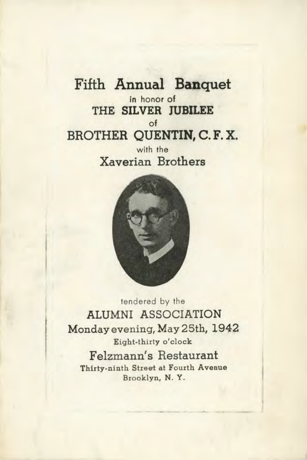## Fifth **Annual Banquet**  in honor of **THE SILVER JUBILEE**  of BROTHER **QUENTIN, C. F. X.**  with the

Xaverian Brothers



tendered by the ALUMNI ASSOCIATION Monday evening, May 25th, 1942 . Eight-thirty o'clock Felzmann's Restaurant Thirty -ninth Street at Fourth Avenue Brooklyn, N.Y.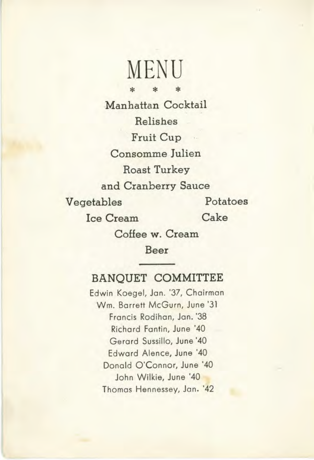MENU \* \* \* **Manhattan** Cocktail Relishes Fruit Cup **Consomme Julien**  Roast **Turkey and Cranberry Sauce**  Vegetables Potatoes Ice **Cream Cake**  Coffee **w. Cream** 

**Beer** 

## **BANQUET COMMITTEE**

Edwin Koegel, Jan. '37, Chairman Wm. Barrett McGurn, June '31 Francis Rodihan, Jan. '38 Richard Fantin, June '40 Gerard Sussillo, June '40 Edward Alence, June '40 Donald O'Connor, June '40 John Wilkie, June '40 Thomas Hennessey, Jan. '42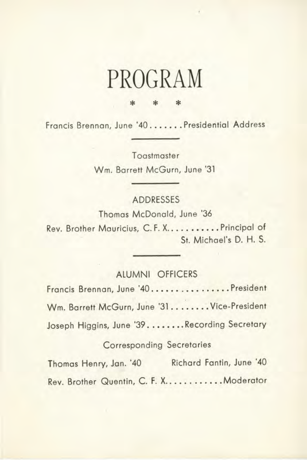# **PROGRAM**

\* \* \* Francis Brennan, June '40....... Presidential Address

> **Toastmaster** Wm. Barrett McGurn, June '31

#### ADDRESSES

Thomas McDonald, June '36 Rev. Brother Mauricius, C.F.X..........Principal of St. Michael's D. H. 5.

### ALUMNI OFFICERS

Francis Brennan, June '40 ................. President Wm. Barrett McGurn, June '31........ Vice-President Joseph Higgins, June '39........Recording Secretary

#### Corresponding Secretaries

Thomas Henry, Jan. '40 Richard Fantin, June '40 Rev. Brother Quentin, C. F. X............ Moderator